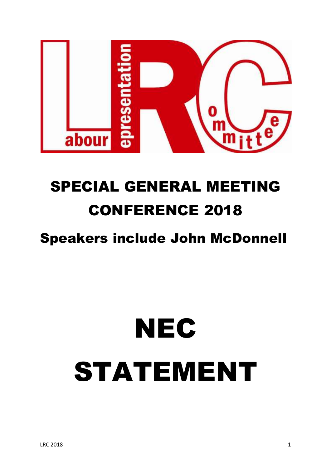

## SPECIAL GENERAL MEETING CONFERENCE 2018

### Speakers include John McDonnell

# **NEC** STATEMENT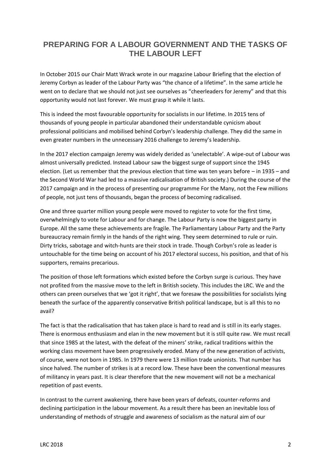#### **PREPARING FOR A LABOUR GOVERNMENT AND THE TASKS OF THE LABOUR LEFT**

In October 2015 our Chair Matt Wrack wrote in our magazine Labour Briefing that the election of Jeremy Corbyn as leader of the Labour Party was "the chance of a lifetime". In the same article he went on to declare that we should not just see ourselves as "cheerleaders for Jeremy" and that this opportunity would not last forever. We must grasp it while it lasts.

This is indeed the most favourable opportunity for socialists in our lifetime. In 2015 tens of thousands of young people in particular abandoned their understandable cynicism about professional politicians and mobilised behind Corbyn's leadership challenge. They did the same in even greater numbers in the unnecessary 2016 challenge to Jeremy's leadership.

In the 2017 election campaign Jeremy was widely derided as 'unelectable'. A wipe-out of Labour was almost universally predicted. Instead Labour saw the biggest surge of support since the 1945 election. (Let us remember that the previous election that time was ten years before – in 1935 – and the Second World War had led to a massive radicalisation of British society.) During the course of the 2017 campaign and in the process of presenting our programme For the Many, not the Few millions of people, not just tens of thousands, began the process of becoming radicalised.

One and three quarter million young people were moved to register to vote for the first time, overwhelmingly to vote for Labour and for change. The Labour Party is now the biggest party in Europe. All the same these achievements are fragile. The Parliamentary Labour Party and the Party bureaucracy remain firmly in the hands of the right wing. They seem determined to rule or ruin. Dirty tricks, sabotage and witch-hunts are their stock in trade. Though Corbyn's role as leader is untouchable for the time being on account of his 2017 electoral success, his position, and that of his supporters, remains precarious.

The position of those left formations which existed before the Corbyn surge is curious. They have not profited from the massive move to the left in British society. This includes the LRC. We and the others can preen ourselves that we 'got it right', that we foresaw the possibilities for socialists lying beneath the surface of the apparently conservative British political landscape, but is all this to no avail?

The fact is that the radicalisation that has taken place is hard to read and is still in its early stages. There is enormous enthusiasm and elan in the new movement but it is still quite raw. We must recall that since 1985 at the latest, with the defeat of the miners' strike, radical traditions within the working class movement have been progressively eroded. Many of the new generation of activists, of course, were not born in 1985. In 1979 there were 13 million trade unionists. That number has since halved. The number of strikes is at a record low. These have been the conventional measures of militancy in years past. It is clear therefore that the new movement will not be a mechanical repetition of past events.

In contrast to the current awakening, there have been years of defeats, counter-reforms and declining participation in the labour movement. As a result there has been an inevitable loss of understanding of methods of struggle and awareness of socialism as the natural aim of our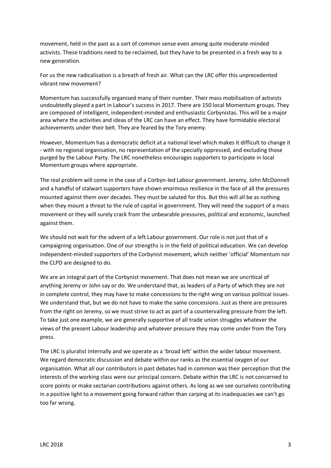movement, held in the past as a sort of common sense even among quite moderate-minded activists. These traditions need to be reclaimed, but they have to be presented in a fresh way to a new generation.

For us the new radicalisation is a breath of fresh air. What can the LRC offer this unprecedented vibrant new movement?

Momentum has successfully organised many of their number. Their mass mobilisation of activists undoubtedly played a part in Labour's success in 2017. There are 150 local Momentum groups. They are composed of intelligent, independent-minded and enthusiastic Corbynistas. This will be a major area where the activities and ideas of the LRC can have an effect. They have formidable electoral achievements under their belt. They are feared by the Tory enemy.

However, Momentum has a democratic deficit at a national level which makes it difficult to change it - with no regional organisation, no representation of the specially oppressed, and excluding those purged by the Labour Party. The LRC nonetheless encourages supporters to participate in local Momentum groups where appropriate.

The real problem will come in the case of a Corbyn-led Labour government. Jeremy, John McDonnell and a handful of stalwart supporters have shown enormous resilience in the face of all the pressures mounted against them over decades. They must be saluted for this. But this will all be as nothing when they mount a threat to the rule of capital in government. They will need the support of a mass movement or they will surely crack from the unbearable pressures, political and economic, launched against them.

We should not wait for the advent of a left Labour government. Our role is not just that of a campaigning organisation. One of our strengths is in the field of political education. We can develop independent-minded supporters of the Corbynist movement, which neither 'official' Momentum nor the CLPD are designed to do.

We are an integral part of the Corbynist movement. That does not mean we are uncritical of anything Jeremy or John say or do. We understand that, as leaders of a Party of which they are not in complete control, they may have to make concessions to the right wing on various political issues. We understand that, but we do not have to make the same concessions. Just as there are pressures from the right on Jeremy, so we must strive to act as part of a countervailing pressure from the left. To take just one example, we are generally supportive of all trade union struggles whatever the views of the present Labour leadership and whatever pressure they may come under from the Tory press.

The LRC is pluralist internally and we operate as a 'broad left' within the wider labour movement. We regard democratic discussion and debate within our ranks as the essential oxygen of our organisation. What all our contributors in past debates had in common was their perception that the interests of the working class were our principal concern. Debate within the LRC is not concerned to score points or make sectarian contributions against others. As long as we see ourselves contributing in a positive light to a movement going forward rather than carping at its inadequacies we can't go too far wrong.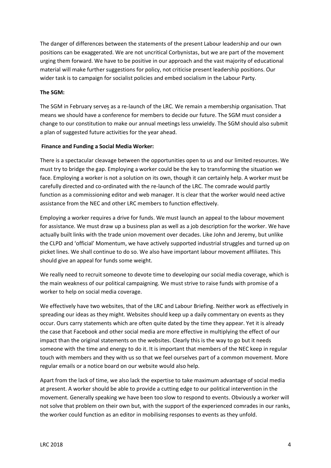The danger of differences between the statements of the present Labour leadership and our own positions can be exaggerated. We are not uncritical Corbynistas, but we are part of the movement urging them forward. We have to be positive in our approach and the vast majority of educational material will make further suggestions for policy, not criticise present leadership positions. Our wider task is to campaign for socialist policies and embed socialism in the Labour Party.

#### **The SGM:**

The SGM in February serves as a re-launch of the LRC. We remain a membership organisation. That means we should have a conference for members to decide our future. The SGM must consider a change to our constitution to make our annual meetings less unwieldy. The SGM should also submit a plan of suggested future activities for the year ahead.

#### **Finance and Funding a Social Media Worker:**

There is a spectacular cleavage between the opportunities open to us and our limited resources. We must try to bridge the gap. Employing a worker could be the key to transforming the situation we face. Employing a worker is not a solution on its own, though it can certainly help. A worker must be carefully directed and co-ordinated with the re-launch of the LRC. The comrade would partly function as a commissioning editor and web manager. It is clear that the worker would need active assistance from the NEC and other LRC members to function effectively.

Employing a worker requires a drive for funds. We must launch an appeal to the labour movement for assistance. We must draw up a business plan as well as a job description for the worker. We have actually built links with the trade union movement over decades. Like John and Jeremy, but unlike the CLPD and 'official' Momentum, we have actively supported industrial struggles and turned up on picket lines. We shall continue to do so. We also have important labour movement affiliates. This should give an appeal for funds some weight.

We really need to recruit someone to devote time to developing our social media coverage, which is the main weakness of our political campaigning. We must strive to raise funds with promise of a worker to help on social media coverage.

We effectively have two websites, that of the LRC and Labour Briefing. Neither work as effectively in spreading our ideas as they might. Websites should keep up a daily commentary on events as they occur. Ours carry statements which are often quite dated by the time they appear. Yet it is already the case that Facebook and other social media are more effective in multiplying the effect of our impact than the original statements on the websites. Clearly this is the way to go but it needs someone with the time and energy to do it. It is important that members of the NEC keep in regular touch with members and they with us so that we feel ourselves part of a common movement. More regular emails or a notice board on our website would also help.

Apart from the lack of time, we also lack the expertise to take maximum advantage of social media at present. A worker should be able to provide a cutting edge to our political intervention in the movement. Generally speaking we have been too slow to respond to events. Obviously a worker will not solve that problem on their own but, with the support of the experienced comrades in our ranks, the worker could function as an editor in mobilising responses to events as they unfold.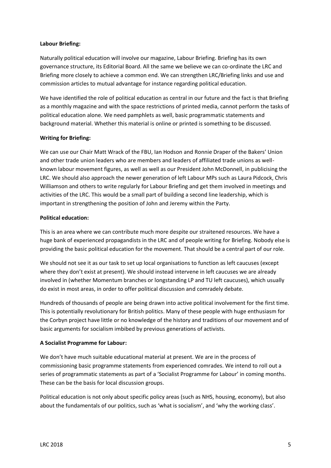#### **Labour Briefing:**

Naturally political education will involve our magazine, Labour Briefing. Briefing has its own governance structure, its Editorial Board. All the same we believe we can co-ordinate the LRC and Briefing more closely to achieve a common end. We can strengthen LRC/Briefing links and use and commission articles to mutual advantage for instance regarding political education.

We have identified the role of political education as central in our future and the fact is that Briefing as a monthly magazine and with the space restrictions of printed media, cannot perform the tasks of political education alone. We need pamphlets as well, basic programmatic statements and background material. Whether this material is online or printed is something to be discussed.

#### **Writing for Briefing:**

We can use our Chair Matt Wrack of the FBU, Ian Hodson and Ronnie Draper of the Bakers' Union and other trade union leaders who are members and leaders of affiliated trade unions as wellknown labour movement figures, as well as well as our President John McDonnell, in publicising the LRC. We should also approach the newer generation of left Labour MPs such as Laura Pidcock, Chris Williamson and others to write regularly for Labour Briefing and get them involved in meetings and activities of the LRC. This would be a small part of building a second line leadership, which is important in strengthening the position of John and Jeremy within the Party.

#### **Political education:**

This is an area where we can contribute much more despite our straitened resources. We have a huge bank of experienced propagandists in the LRC and of people writing for Briefing. Nobody else is providing the basic political education for the movement. That should be a central part of our role.

We should not see it as our task to set up local organisations to function as left caucuses (except where they don't exist at present). We should instead intervene in left caucuses we are already involved in (whether Momentum branches or longstanding LP and TU left caucuses), which usually do exist in most areas, in order to offer political discussion and comradely debate.

Hundreds of thousands of people are being drawn into active political involvement for the first time. This is potentially revolutionary for British politics. Many of these people with huge enthusiasm for the Corbyn project have little or no knowledge of the history and traditions of our movement and of basic arguments for socialism imbibed by previous generations of activists.

#### **A Socialist Programme for Labour:**

We don't have much suitable educational material at present. We are in the process of commissioning basic programme statements from experienced comrades. We intend to roll out a series of programmatic statements as part of a 'Socialist Programme for Labour' in coming months. These can be the basis for local discussion groups.

Political education is not only about specific policy areas (such as NHS, housing, economy), but also about the fundamentals of our politics, such as 'what is socialism', and 'why the working class'.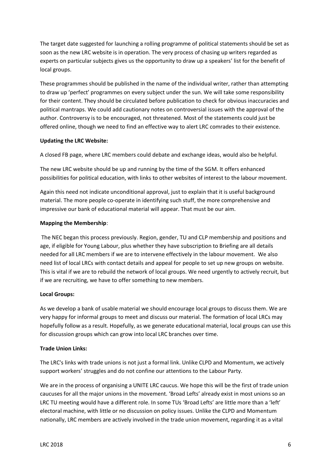The target date suggested for launching a rolling programme of political statements should be set as soon as the new LRC website is in operation. The very process of chasing up writers regarded as experts on particular subjects gives us the opportunity to draw up a speakers' list for the benefit of local groups.

These programmes should be published in the name of the individual writer, rather than attempting to draw up 'perfect' programmes on every subject under the sun. We will take some responsibility for their content. They should be circulated before publication to check for obvious inaccuracies and political mantraps. We could add cautionary notes on controversial issues with the approval of the author. Controversy is to be encouraged, not threatened. Most of the statements could just be offered online, though we need to find an effective way to alert LRC comrades to their existence.

#### **Updating the LRC Website:**

A closed FB page, where LRC members could debate and exchange ideas, would also be helpful.

The new LRC website should be up and running by the time of the SGM. It offers enhanced possibilities for political education, with links to other websites of interest to the labour movement.

Again this need not indicate unconditional approval, just to explain that it is useful background material. The more people co-operate in identifying such stuff, the more comprehensive and impressive our bank of educational material will appear. That must be our aim.

#### **Mapping the Membership**:

The NEC began this process previously. Region, gender, TU and CLP membership and positions and age, if eligible for Young Labour, plus whether they have subscription to Briefing are all details needed for all LRC members if we are to intervene effectively in the labour movement. We also need list of local LRCs with contact details and appeal for people to set up new groups on website. This is vital if we are to rebuild the network of local groups. We need urgently to actively recruit, but if we are recruiting, we have to offer something to new members.

#### **Local Groups:**

As we develop a bank of usable material we should encourage local groups to discuss them. We are very happy for informal groups to meet and discuss our material. The formation of local LRCs may hopefully follow as a result. Hopefully, as we generate educational material, local groups can use this for discussion groups which can grow into local LRC branches over time.

#### **Trade Union Links:**

The LRC's links with trade unions is not just a formal link. Unlike CLPD and Momentum, we actively support workers' struggles and do not confine our attentions to the Labour Party.

We are in the process of organising a UNITE LRC caucus. We hope this will be the first of trade union caucuses for all the major unions in the movement. 'Broad Lefts' already exist in most unions so an LRC TU meeting would have a different role. In some TUs 'Broad Lefts' are little more than a 'left' electoral machine, with little or no discussion on policy issues. Unlike the CLPD and Momentum nationally, LRC members are actively involved in the trade union movement, regarding it as a vital